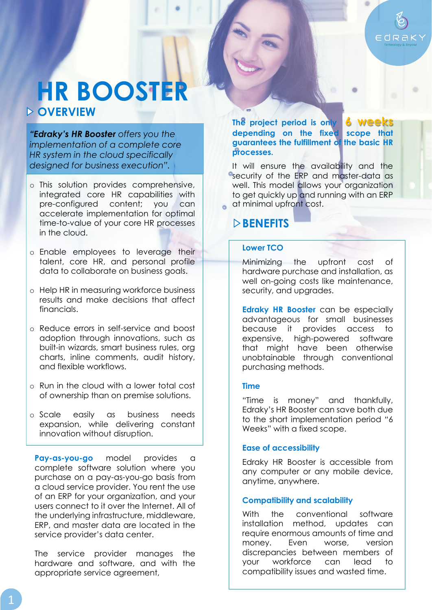

# **OVERVIEW HR BOOSTER**

*"Edraky's HR Booster offers you the implementation of a complete core HR system in the cloud specifically designed for business execution".*

- o This solution provides comprehensive, integrated core HR capabilities with pre-configured content; you can accelerate implementation for optimal time-to-value of your core HR processes in the cloud.
- o Enable employees to leverage their talent, core HR, and personal profile data to collaborate on business goals.
- o Help HR in measuring workforce business results and make decisions that affect financials.
- o Reduce errors in self-service and boost adoption through innovations, such as built-in wizards, smart business rules, org charts, inline comments, audit history, and flexible workflows.
- o Run in the cloud with a lower total cost of ownership than on premise solutions.
- o Scale easily as business needs expansion, while delivering constant innovation without disruption.

**Pay-as-you-go** model provides a complete software solution where you purchase on a pay-as-you-go basis from a cloud service provider. You rent the use of an ERP for your organization, and your users connect to it over the Internet. All of the underlying infrastructure, middleware, ERP, and master data are located in the service provider's data center.

The service provider manages the hardware and software, and with the appropriate service agreement,

**The project period is only 6 Week depending on the fixed scope that guarantees the fulfillment of the basic HR processes.** 

It will ensure the availability and the **e**security of the ERP and master-data as well. This model allows your organization to get quickly up and running with an ERP at minimal upfront cost.

# **BENEFITS**

### **Lower TCO**

Minimizing the upfront cost of hardware purchase and installation, as well on-going costs like maintenance, security, and upgrades.

**Edraky HR Booster** can be especially advantageous for small businesses because it provides access to expensive, high-powered software that might have been otherwise unobtainable through conventional purchasing methods.

#### **Time**

"Time is money" and thankfully, Edraky's HR Booster can save both due to the short implementation period "6 Weeks" with a fixed scope.

### **Ease of accessibility**

Edraky HR Booster is accessible from any computer or any mobile device, anytime, anywhere.

### **Compatibility and scalability**

With the conventional software installation method, updates can require enormous amounts of time and money. Even worse, version discrepancies between members of your workforce can lead to compatibility issues and wasted time.